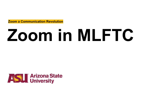**Zoom a Communication Revolution**

# **Zoom in MLFTC**

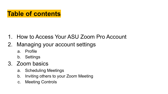## **Table of contents**

- 1. How to Access Your ASU Zoom Pro Account
- 2. Managing your account settings
	- a. Profile
	- b. Settings

### 3. Zoom basics

- a. Scheduling Meetings
- b. Inviting others to your Zoom Meeting
- c. Meeting Controls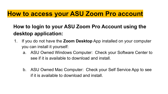#### **How to access your ASU Zoom Pro account**

#### **How to login to your ASU Zoom Pro Account using the desktop application:**

- 1. If you do not have the **Zoom Desktop** App installed on your computer you can install it yourself:
	- a. ASU Owned Windows Computer: Check your Software Center to see if it is available to download and install.
	- b. ASU Owned Mac Computer: Check your Self Service App to see if it is available to download and install.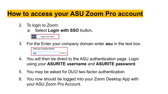### **How to access your ASU Zoom Pro account**

- 2. To login to Zoom:
	- a. Select **Login with SSO** button**.**



3. For the Enter your company domain enter **asu** in the text box.



- 4. You will then be direct to the ASU authentication page. Login using your **ASURITE username** and **ASURITE password**.
- 5. You may be asked for DUO two-factor authentication.
- 6. You now should be logged into your Zoom Desktop App with your ASU Zoom Pro Account.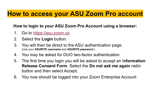### **How to access your ASU Zoom Pro account**

#### **How to login to your ASU Zoom Pro Account using a browser:**

- 1. Go to <https://asu.zoom.us>
- 2. Select the **Login** button.
- 3. You will then be direct to the ASU authentication page. (Use your **ASURITE username** and **ASURITE password**.)
- 4. You may be asked for DUO two-factor authentication.
- 5. The first time you login you will be asked to accept an I**nformation Release Consent Form**. Select the **Do not ask me again** radio button and then select Accept.
- 6. You now should be logged into your Zoom Enterprise Account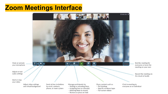### **Zoom Meetings Interface**